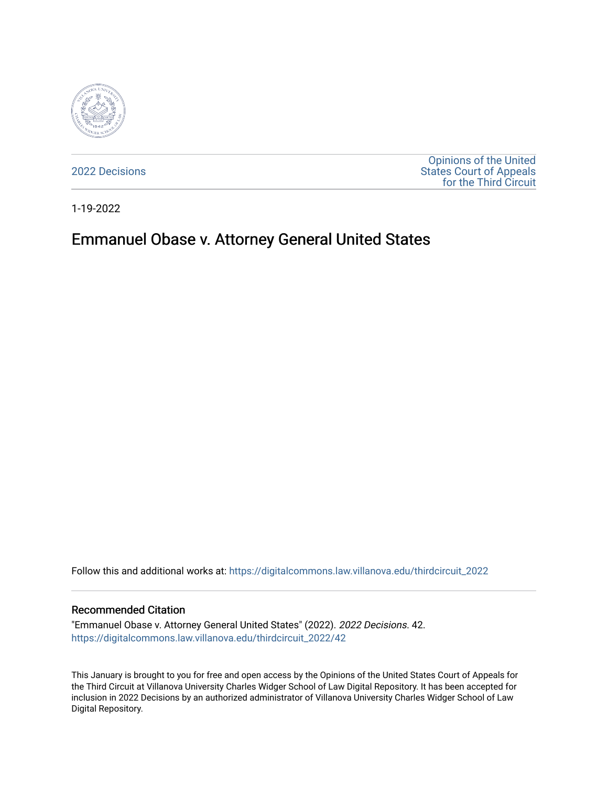

[2022 Decisions](https://digitalcommons.law.villanova.edu/thirdcircuit_2022)

[Opinions of the United](https://digitalcommons.law.villanova.edu/thirdcircuit)  [States Court of Appeals](https://digitalcommons.law.villanova.edu/thirdcircuit)  [for the Third Circuit](https://digitalcommons.law.villanova.edu/thirdcircuit) 

1-19-2022

# Emmanuel Obase v. Attorney General United States

Follow this and additional works at: [https://digitalcommons.law.villanova.edu/thirdcircuit\\_2022](https://digitalcommons.law.villanova.edu/thirdcircuit_2022?utm_source=digitalcommons.law.villanova.edu%2Fthirdcircuit_2022%2F42&utm_medium=PDF&utm_campaign=PDFCoverPages) 

#### Recommended Citation

"Emmanuel Obase v. Attorney General United States" (2022). 2022 Decisions. 42. [https://digitalcommons.law.villanova.edu/thirdcircuit\\_2022/42](https://digitalcommons.law.villanova.edu/thirdcircuit_2022/42?utm_source=digitalcommons.law.villanova.edu%2Fthirdcircuit_2022%2F42&utm_medium=PDF&utm_campaign=PDFCoverPages)

This January is brought to you for free and open access by the Opinions of the United States Court of Appeals for the Third Circuit at Villanova University Charles Widger School of Law Digital Repository. It has been accepted for inclusion in 2022 Decisions by an authorized administrator of Villanova University Charles Widger School of Law Digital Repository.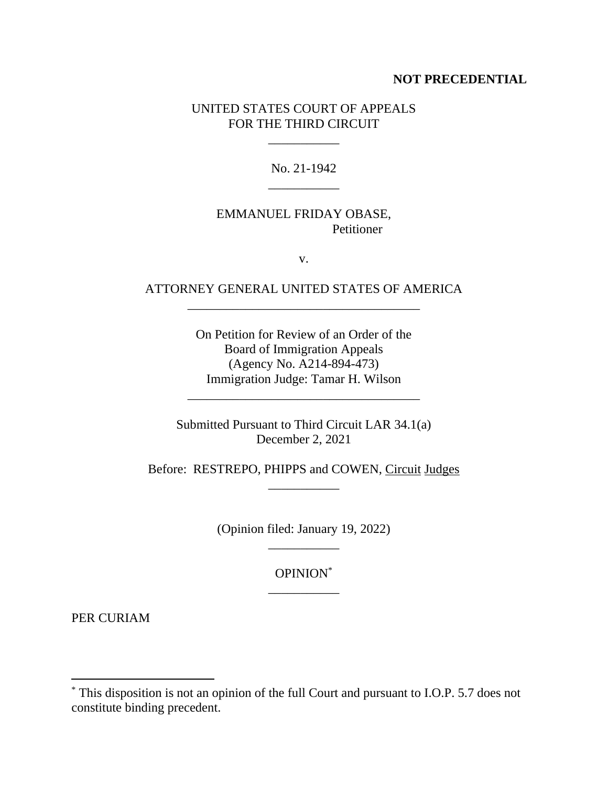#### **NOT PRECEDENTIAL**

#### UNITED STATES COURT OF APPEALS FOR THE THIRD CIRCUIT

\_\_\_\_\_\_\_\_\_\_\_

No. 21-1942 \_\_\_\_\_\_\_\_\_\_\_

### EMMANUEL FRIDAY OBASE, Petitioner

v.

## ATTORNEY GENERAL UNITED STATES OF AMERICA \_\_\_\_\_\_\_\_\_\_\_\_\_\_\_\_\_\_\_\_\_\_\_\_\_\_\_\_\_\_\_\_\_\_\_\_

On Petition for Review of an Order of the Board of Immigration Appeals (Agency No. A214-894-473) Immigration Judge: Tamar H. Wilson

\_\_\_\_\_\_\_\_\_\_\_\_\_\_\_\_\_\_\_\_\_\_\_\_\_\_\_\_\_\_\_\_\_\_\_\_

Submitted Pursuant to Third Circuit LAR 34.1(a) December 2, 2021

Before: RESTREPO, PHIPPS and COWEN, Circuit Judges \_\_\_\_\_\_\_\_\_\_\_

> (Opinion filed: January 19, 2022) \_\_\_\_\_\_\_\_\_\_\_

> > OPINION\* \_\_\_\_\_\_\_\_\_\_\_

PER CURIAM

<sup>\*</sup> This disposition is not an opinion of the full Court and pursuant to I.O.P. 5.7 does not constitute binding precedent.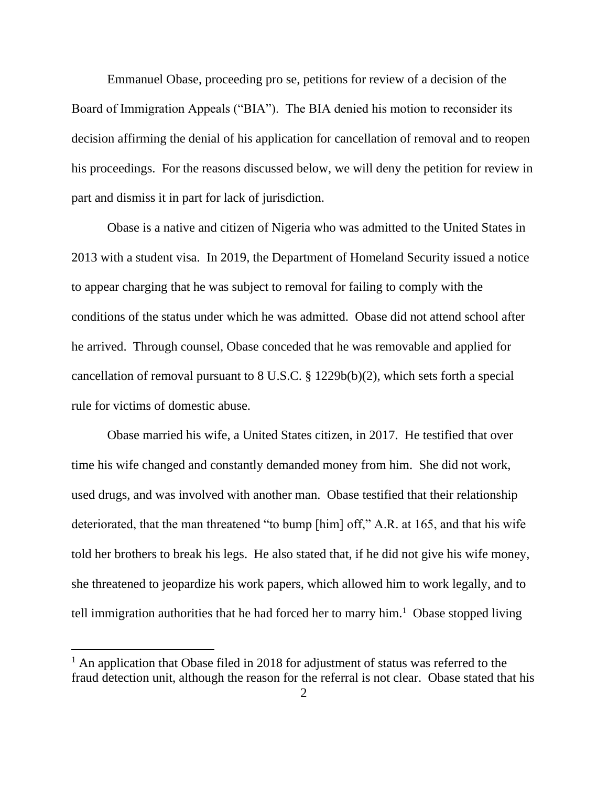Emmanuel Obase, proceeding pro se, petitions for review of a decision of the Board of Immigration Appeals ("BIA"). The BIA denied his motion to reconsider its decision affirming the denial of his application for cancellation of removal and to reopen his proceedings. For the reasons discussed below, we will deny the petition for review in part and dismiss it in part for lack of jurisdiction.

Obase is a native and citizen of Nigeria who was admitted to the United States in 2013 with a student visa. In 2019, the Department of Homeland Security issued a notice to appear charging that he was subject to removal for failing to comply with the conditions of the status under which he was admitted. Obase did not attend school after he arrived. Through counsel, Obase conceded that he was removable and applied for cancellation of removal pursuant to 8 U.S.C. § 1229b(b)(2), which sets forth a special rule for victims of domestic abuse.

Obase married his wife, a United States citizen, in 2017. He testified that over time his wife changed and constantly demanded money from him. She did not work, used drugs, and was involved with another man. Obase testified that their relationship deteriorated, that the man threatened "to bump [him] off," A.R. at 165, and that his wife told her brothers to break his legs. He also stated that, if he did not give his wife money, she threatened to jeopardize his work papers, which allowed him to work legally, and to tell immigration authorities that he had forced her to marry him.<sup>1</sup> Obase stopped living

 $<sup>1</sup>$  An application that Obase filed in 2018 for adjustment of status was referred to the</sup> fraud detection unit, although the reason for the referral is not clear. Obase stated that his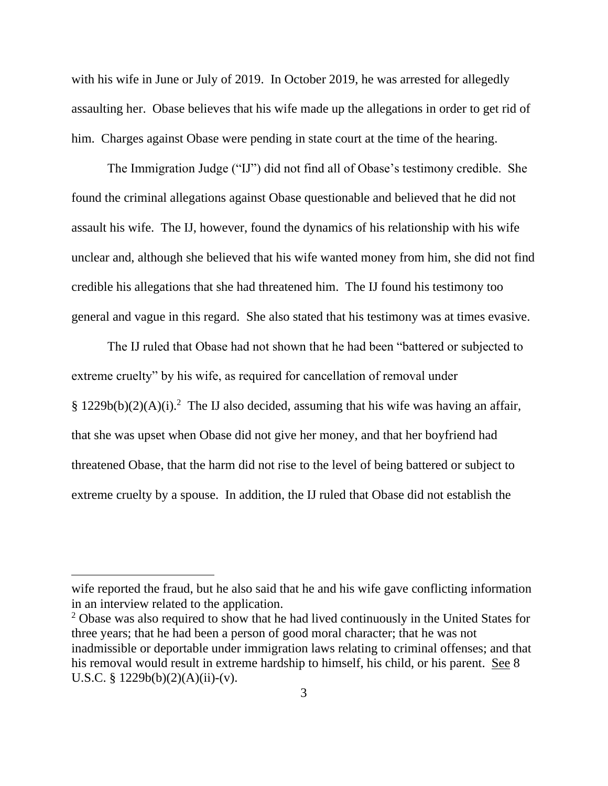with his wife in June or July of 2019. In October 2019, he was arrested for allegedly assaulting her. Obase believes that his wife made up the allegations in order to get rid of him. Charges against Obase were pending in state court at the time of the hearing.

The Immigration Judge ("IJ") did not find all of Obase's testimony credible. She found the criminal allegations against Obase questionable and believed that he did not assault his wife. The IJ, however, found the dynamics of his relationship with his wife unclear and, although she believed that his wife wanted money from him, she did not find credible his allegations that she had threatened him. The IJ found his testimony too general and vague in this regard. She also stated that his testimony was at times evasive.

The IJ ruled that Obase had not shown that he had been "battered or subjected to extreme cruelty" by his wife, as required for cancellation of removal under § 1229b(b)(2)(A)(i).<sup>2</sup> The IJ also decided, assuming that his wife was having an affair, that she was upset when Obase did not give her money, and that her boyfriend had threatened Obase, that the harm did not rise to the level of being battered or subject to extreme cruelty by a spouse. In addition, the IJ ruled that Obase did not establish the

wife reported the fraud, but he also said that he and his wife gave conflicting information in an interview related to the application.

<sup>&</sup>lt;sup>2</sup> Obase was also required to show that he had lived continuously in the United States for three years; that he had been a person of good moral character; that he was not inadmissible or deportable under immigration laws relating to criminal offenses; and that his removal would result in extreme hardship to himself, his child, or his parent. See 8 U.S.C. §  $1229b(b)(2)(A)(ii)-(v)$ .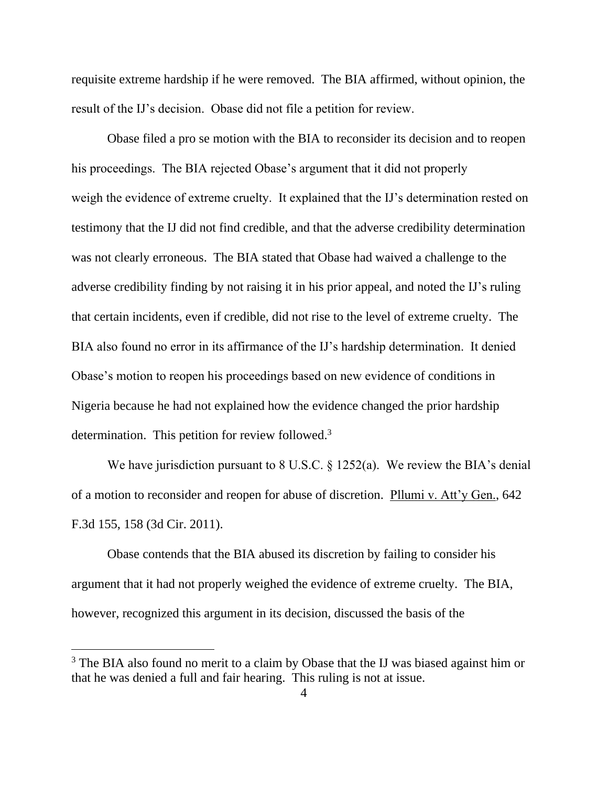requisite extreme hardship if he were removed. The BIA affirmed, without opinion, the result of the IJ's decision. Obase did not file a petition for review.

Obase filed a pro se motion with the BIA to reconsider its decision and to reopen his proceedings. The BIA rejected Obase's argument that it did not properly weigh the evidence of extreme cruelty. It explained that the IJ's determination rested on testimony that the IJ did not find credible, and that the adverse credibility determination was not clearly erroneous. The BIA stated that Obase had waived a challenge to the adverse credibility finding by not raising it in his prior appeal, and noted the IJ's ruling that certain incidents, even if credible, did not rise to the level of extreme cruelty. The BIA also found no error in its affirmance of the IJ's hardship determination. It denied Obase's motion to reopen his proceedings based on new evidence of conditions in Nigeria because he had not explained how the evidence changed the prior hardship determination. This petition for review followed.<sup>3</sup>

We have jurisdiction pursuant to 8 U.S.C. § 1252(a). We review the BIA's denial of a motion to reconsider and reopen for abuse of discretion. Pllumi v. Att'y Gen., 642 F.3d 155, 158 (3d Cir. 2011).

Obase contends that the BIA abused its discretion by failing to consider his argument that it had not properly weighed the evidence of extreme cruelty. The BIA, however, recognized this argument in its decision, discussed the basis of the

<sup>&</sup>lt;sup>3</sup> The BIA also found no merit to a claim by Obase that the IJ was biased against him or that he was denied a full and fair hearing. This ruling is not at issue.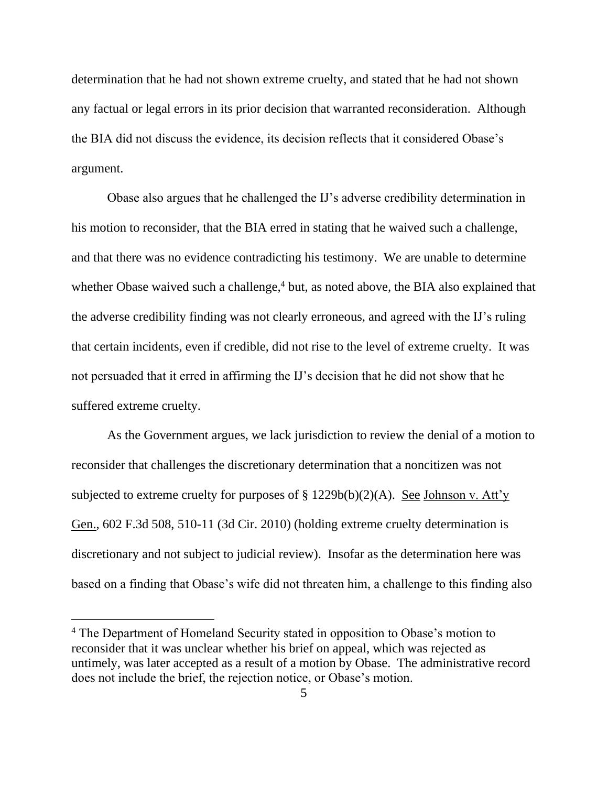determination that he had not shown extreme cruelty, and stated that he had not shown any factual or legal errors in its prior decision that warranted reconsideration. Although the BIA did not discuss the evidence, its decision reflects that it considered Obase's argument.

Obase also argues that he challenged the IJ's adverse credibility determination in his motion to reconsider, that the BIA erred in stating that he waived such a challenge, and that there was no evidence contradicting his testimony. We are unable to determine whether Obase waived such a challenge, $4$  but, as noted above, the BIA also explained that the adverse credibility finding was not clearly erroneous, and agreed with the IJ's ruling that certain incidents, even if credible, did not rise to the level of extreme cruelty. It was not persuaded that it erred in affirming the IJ's decision that he did not show that he suffered extreme cruelty.

As the Government argues, we lack jurisdiction to review the denial of a motion to reconsider that challenges the discretionary determination that a noncitizen was not subjected to extreme cruelty for purposes of  $\S 1229b(b)(2)(A)$ . See Johnson v. Att'y Gen., 602 F.3d 508, 510-11 (3d Cir. 2010) (holding extreme cruelty determination is discretionary and not subject to judicial review). Insofar as the determination here was based on a finding that Obase's wife did not threaten him, a challenge to this finding also

<sup>&</sup>lt;sup>4</sup> The Department of Homeland Security stated in opposition to Obase's motion to reconsider that it was unclear whether his brief on appeal, which was rejected as untimely, was later accepted as a result of a motion by Obase. The administrative record does not include the brief, the rejection notice, or Obase's motion.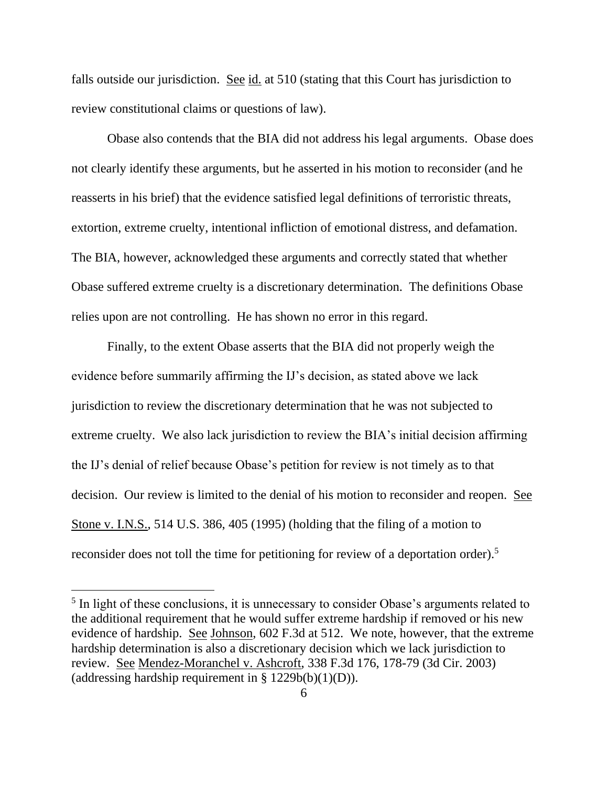falls outside our jurisdiction. See id. at 510 (stating that this Court has jurisdiction to review constitutional claims or questions of law).

Obase also contends that the BIA did not address his legal arguments. Obase does not clearly identify these arguments, but he asserted in his motion to reconsider (and he reasserts in his brief) that the evidence satisfied legal definitions of terroristic threats, extortion, extreme cruelty, intentional infliction of emotional distress, and defamation. The BIA, however, acknowledged these arguments and correctly stated that whether Obase suffered extreme cruelty is a discretionary determination. The definitions Obase relies upon are not controlling. He has shown no error in this regard.

Finally, to the extent Obase asserts that the BIA did not properly weigh the evidence before summarily affirming the IJ's decision, as stated above we lack jurisdiction to review the discretionary determination that he was not subjected to extreme cruelty. We also lack jurisdiction to review the BIA's initial decision affirming the IJ's denial of relief because Obase's petition for review is not timely as to that decision. Our review is limited to the denial of his motion to reconsider and reopen. See Stone v. I.N.S., 514 U.S. 386, 405 (1995) (holding that the filing of a motion to reconsider does not toll the time for petitioning for review of a deportation order).<sup>5</sup>

<sup>&</sup>lt;sup>5</sup> In light of these conclusions, it is unnecessary to consider Obase's arguments related to the additional requirement that he would suffer extreme hardship if removed or his new evidence of hardship. See Johnson, 602 F.3d at 512. We note, however, that the extreme hardship determination is also a discretionary decision which we lack jurisdiction to review. See Mendez-Moranchel v. Ashcroft, 338 F.3d 176, 178-79 (3d Cir. 2003) (addressing hardship requirement in  $\S$  1229b(b)(1)(D)).